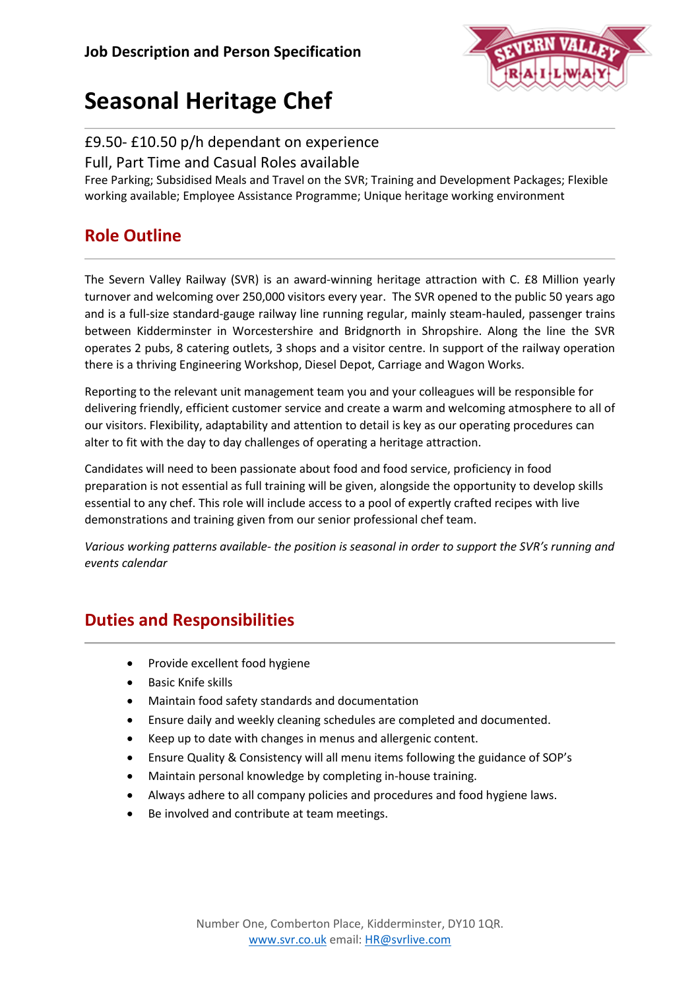

# **Seasonal Heritage Chef**

#### £9.50- £10.50 p/h dependant on experience

Full, Part Time and Casual Roles available

Free Parking; Subsidised Meals and Travel on the SVR; Training and Development Packages; Flexible working available; Employee Assistance Programme; Unique heritage working environment

## **Role Outline**

The Severn Valley Railway (SVR) is an award-winning heritage attraction with C. £8 Million yearly turnover and welcoming over 250,000 visitors every year. The SVR opened to the public 50 years ago and is a full-size standard-gauge railway line running regular, mainly steam-hauled, passenger trains between Kidderminster in Worcestershire and Bridgnorth in Shropshire. Along the line the SVR operates 2 pubs, 8 catering outlets, 3 shops and a visitor centre. In support of the railway operation there is a thriving Engineering Workshop, Diesel Depot, Carriage and Wagon Works.

Reporting to the relevant unit management team you and your colleagues will be responsible for delivering friendly, efficient customer service and create a warm and welcoming atmosphere to all of our visitors. Flexibility, adaptability and attention to detail is key as our operating procedures can alter to fit with the day to day challenges of operating a heritage attraction.

Candidates will need to been passionate about food and food service, proficiency in food preparation is not essential as full training will be given, alongside the opportunity to develop skills essential to any chef. This role will include access to a pool of expertly crafted recipes with live demonstrations and training given from our senior professional chef team.

*Various working patterns available- the position is seasonal in order to support the SVR's running and events calendar*

### **Duties and Responsibilities**

- Provide excellent food hygiene
- Basic Knife skills
- Maintain food safety standards and documentation
- Ensure daily and weekly cleaning schedules are completed and documented.
- Keep up to date with changes in menus and allergenic content.
- Ensure Quality & Consistency will all menu items following the guidance of SOP's
- Maintain personal knowledge by completing in-house training.
- Always adhere to all company policies and procedures and food hygiene laws.
- Be involved and contribute at team meetings.